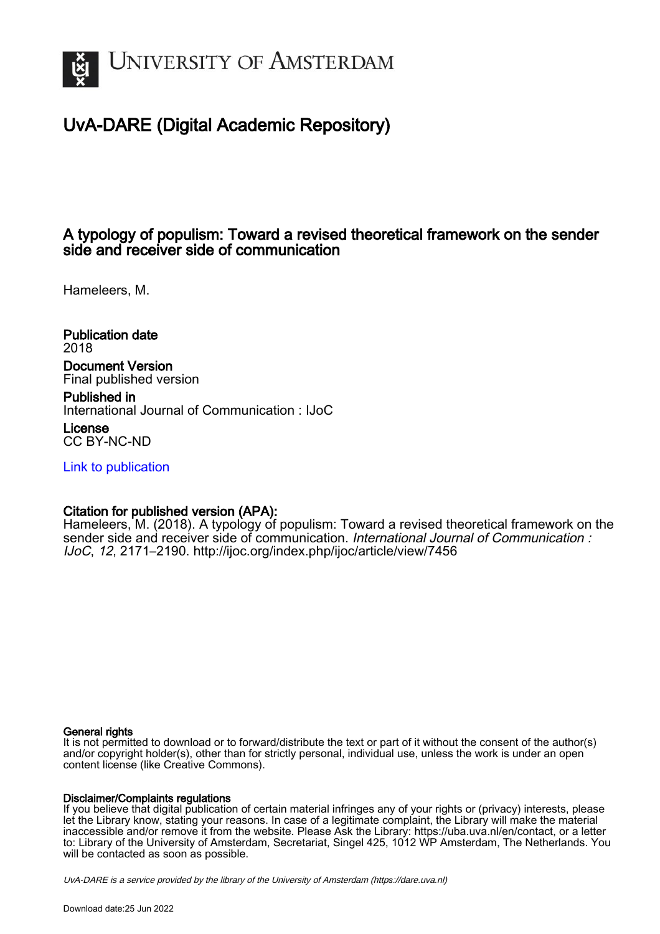

# UvA-DARE (Digital Academic Repository)

# A typology of populism: Toward a revised theoretical framework on the sender side and receiver side of communication

Hameleers, M.

Publication date 2018 Document Version Final published version

Published in International Journal of Communication : IJoC

License CC BY-NC-ND

[Link to publication](https://dare.uva.nl/personal/pure/en/publications/a-typology-of-populism-toward-a-revised-theoretical-framework-on-the-sender-side-and-receiver-side-of-communication(4d7a88ef-fa83-4a12-8b0e-de1a2fb92172).html)

## Citation for published version (APA):

Hameleers, M. (2018). A typology of populism: Toward a revised theoretical framework on the sender side and receiver side of communication. International Journal of Communication : IJoC, 12, 2171–2190.<http://ijoc.org/index.php/ijoc/article/view/7456>

### General rights

It is not permitted to download or to forward/distribute the text or part of it without the consent of the author(s) and/or copyright holder(s), other than for strictly personal, individual use, unless the work is under an open content license (like Creative Commons).

### Disclaimer/Complaints regulations

If you believe that digital publication of certain material infringes any of your rights or (privacy) interests, please let the Library know, stating your reasons. In case of a legitimate complaint, the Library will make the material inaccessible and/or remove it from the website. Please Ask the Library: https://uba.uva.nl/en/contact, or a letter to: Library of the University of Amsterdam, Secretariat, Singel 425, 1012 WP Amsterdam, The Netherlands. You will be contacted as soon as possible.

UvA-DARE is a service provided by the library of the University of Amsterdam (http*s*://dare.uva.nl)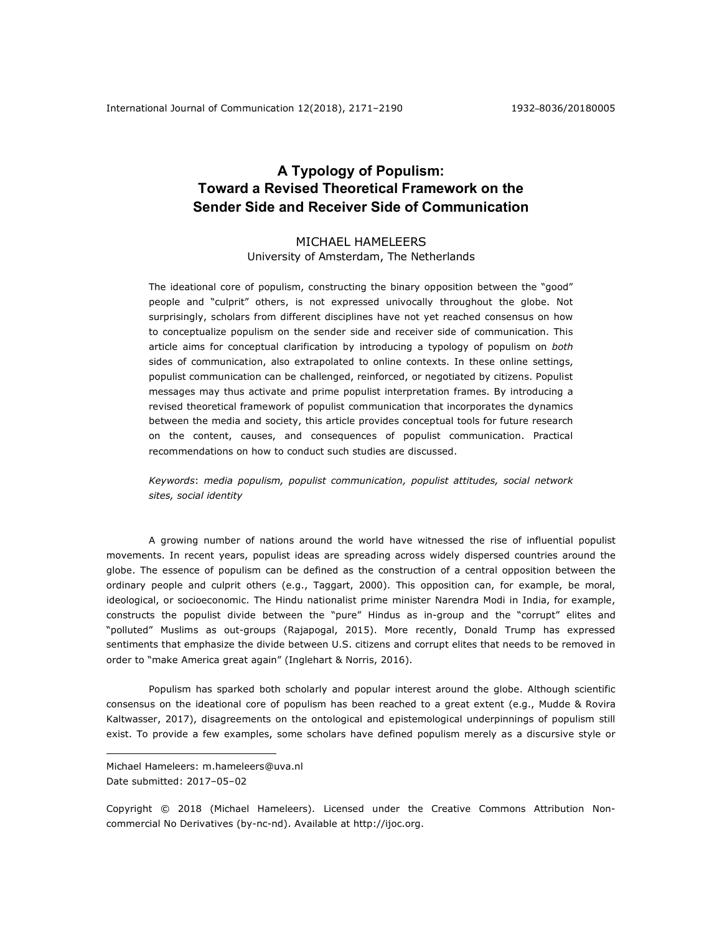# **A Typology of Populism: Toward a Revised Theoretical Framework on the Sender Side and Receiver Side of Communication**

### MICHAEL HAMELEERS

University of Amsterdam, The Netherlands

The ideational core of populism, constructing the binary opposition between the "good" people and "culprit" others, is not expressed univocally throughout the globe. Not surprisingly, scholars from different disciplines have not yet reached consensus on how to conceptualize populism on the sender side and receiver side of communication. This article aims for conceptual clarification by introducing a typology of populism on *both* sides of communication, also extrapolated to online contexts. In these online settings, populist communication can be challenged, reinforced, or negotiated by citizens. Populist messages may thus activate and prime populist interpretation frames. By introducing a revised theoretical framework of populist communication that incorporates the dynamics between the media and society, this article provides conceptual tools for future research on the content, causes, and consequences of populist communication. Practical recommendations on how to conduct such studies are discussed.

*Keywords*: *media populism, populist communication, populist attitudes, social network sites, social identity*

A growing number of nations around the world have witnessed the rise of influential populist movements. In recent years, populist ideas are spreading across widely dispersed countries around the globe. The essence of populism can be defined as the construction of a central opposition between the ordinary people and culprit others (e.g., Taggart, 2000). This opposition can, for example, be moral, ideological, or socioeconomic. The Hindu nationalist prime minister Narendra Modi in India, for example, constructs the populist divide between the "pure" Hindus as in-group and the "corrupt" elites and "polluted" Muslims as out-groups (Rajapogal, 2015). More recently, Donald Trump has expressed sentiments that emphasize the divide between U.S. citizens and corrupt elites that needs to be removed in order to "make America great again" (Inglehart & Norris, 2016).

Populism has sparked both scholarly and popular interest around the globe. Although scientific consensus on the ideational core of populism has been reached to a great extent (e.g., Mudde & Rovira Kaltwasser, 2017), disagreements on the ontological and epistemological underpinnings of populism still exist. To provide a few examples, some scholars have defined populism merely as a discursive style or

1

Copyright © 2018 (Michael Hameleers). Licensed under the Creative Commons Attribution Noncommercial No Derivatives (by-nc-nd). Available at http://ijoc.org.

Michael Hameleers: m.hameleers@uva.nl Date submitted: 2017–05–02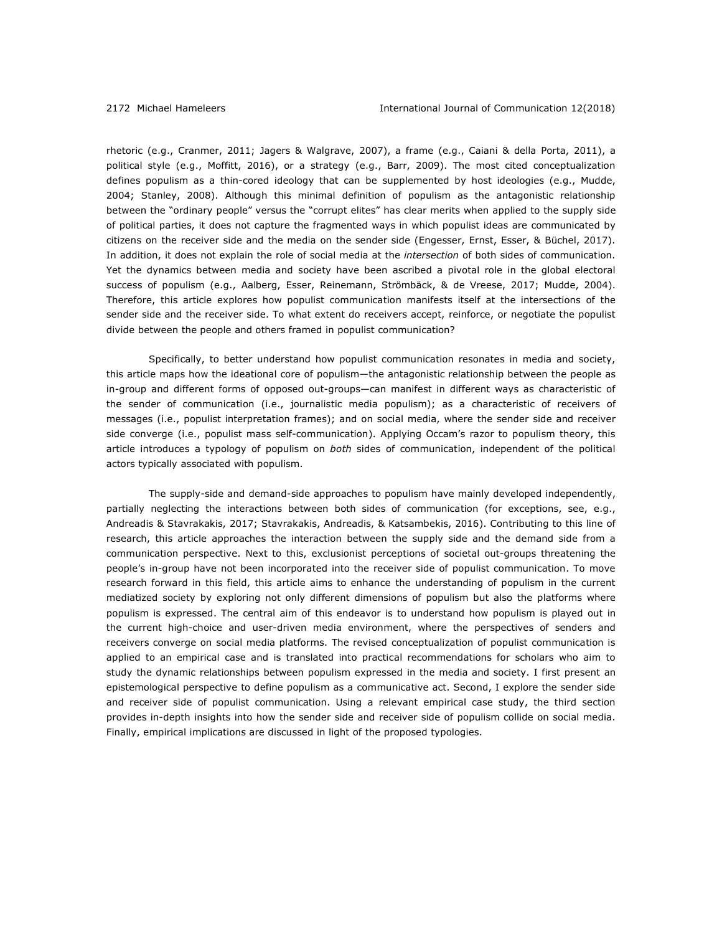rhetoric (e.g., Cranmer, 2011; Jagers & Walgrave, 2007), a frame (e.g., Caiani & della Porta, 2011), a political style (e.g., Moffitt, 2016), or a strategy (e.g., Barr, 2009). The most cited conceptualization defines populism as a thin-cored ideology that can be supplemented by host ideologies (e.g., Mudde, 2004; Stanley, 2008). Although this minimal definition of populism as the antagonistic relationship between the "ordinary people" versus the "corrupt elites" has clear merits when applied to the supply side of political parties, it does not capture the fragmented ways in which populist ideas are communicated by citizens on the receiver side and the media on the sender side (Engesser, Ernst, Esser, & Büchel, 2017). In addition, it does not explain the role of social media at the *intersection* of both sides of communication. Yet the dynamics between media and society have been ascribed a pivotal role in the global electoral success of populism (e.g., Aalberg, Esser, Reinemann, Strömbäck, & de Vreese, 2017; Mudde, 2004). Therefore, this article explores how populist communication manifests itself at the intersections of the sender side and the receiver side. To what extent do receivers accept, reinforce, or negotiate the populist divide between the people and others framed in populist communication?

Specifically, to better understand how populist communication resonates in media and society, this article maps how the ideational core of populism—the antagonistic relationship between the people as in-group and different forms of opposed out-groups—can manifest in different ways as characteristic of the sender of communication (i.e., journalistic media populism); as a characteristic of receivers of messages (i.e., populist interpretation frames); and on social media, where the sender side and receiver side converge (i.e., populist mass self-communication). Applying Occam's razor to populism theory, this article introduces a typology of populism on *both* sides of communication, independent of the political actors typically associated with populism.

The supply-side and demand-side approaches to populism have mainly developed independently, partially neglecting the interactions between both sides of communication (for exceptions, see, e.g., Andreadis & Stavrakakis, 2017; Stavrakakis, Andreadis, & Katsambekis, 2016). Contributing to this line of research, this article approaches the interaction between the supply side and the demand side from a communication perspective. Next to this, exclusionist perceptions of societal out-groups threatening the people's in-group have not been incorporated into the receiver side of populist communication. To move research forward in this field, this article aims to enhance the understanding of populism in the current mediatized society by exploring not only different dimensions of populism but also the platforms where populism is expressed. The central aim of this endeavor is to understand how populism is played out in the current high-choice and user-driven media environment, where the perspectives of senders and receivers converge on social media platforms. The revised conceptualization of populist communication is applied to an empirical case and is translated into practical recommendations for scholars who aim to study the dynamic relationships between populism expressed in the media and society. I first present an epistemological perspective to define populism as a communicative act. Second, I explore the sender side and receiver side of populist communication. Using a relevant empirical case study, the third section provides in-depth insights into how the sender side and receiver side of populism collide on social media. Finally, empirical implications are discussed in light of the proposed typologies.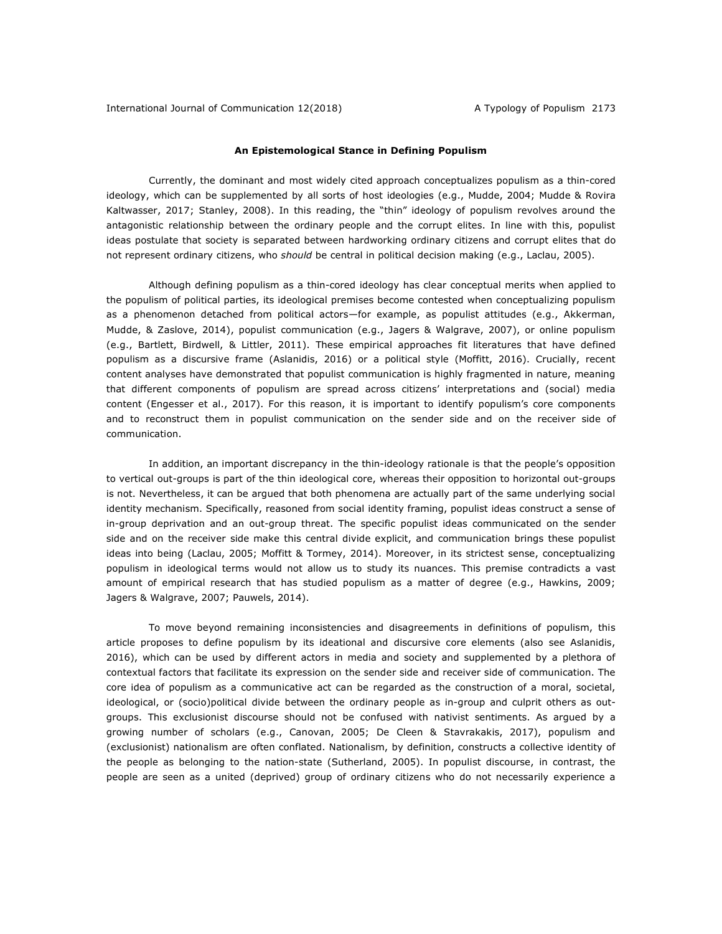#### **An Epistemological Stance in Defining Populism**

Currently, the dominant and most widely cited approach conceptualizes populism as a thin-cored ideology, which can be supplemented by all sorts of host ideologies (e.g., Mudde, 2004; Mudde & Rovira Kaltwasser, 2017; Stanley, 2008). In this reading, the "thin" ideology of populism revolves around the antagonistic relationship between the ordinary people and the corrupt elites. In line with this, populist ideas postulate that society is separated between hardworking ordinary citizens and corrupt elites that do not represent ordinary citizens, who *should* be central in political decision making (e.g., Laclau, 2005).

Although defining populism as a thin-cored ideology has clear conceptual merits when applied to the populism of political parties, its ideological premises become contested when conceptualizing populism as a phenomenon detached from political actors—for example, as populist attitudes (e.g., Akkerman, Mudde, & Zaslove, 2014), populist communication (e.g., Jagers & Walgrave, 2007), or online populism (e.g., Bartlett, Birdwell, & Littler, 2011). These empirical approaches fit literatures that have defined populism as a discursive frame (Aslanidis, 2016) or a political style (Moffitt, 2016). Crucially, recent content analyses have demonstrated that populist communication is highly fragmented in nature, meaning that different components of populism are spread across citizens' interpretations and (social) media content (Engesser et al., 2017). For this reason, it is important to identify populism's core components and to reconstruct them in populist communication on the sender side and on the receiver side of communication.

In addition, an important discrepancy in the thin-ideology rationale is that the people's opposition to vertical out-groups is part of the thin ideological core, whereas their opposition to horizontal out-groups is not. Nevertheless, it can be argued that both phenomena are actually part of the same underlying social identity mechanism. Specifically, reasoned from social identity framing, populist ideas construct a sense of in-group deprivation and an out-group threat. The specific populist ideas communicated on the sender side and on the receiver side make this central divide explicit, and communication brings these populist ideas into being (Laclau, 2005; Moffitt & Tormey, 2014). Moreover, in its strictest sense, conceptualizing populism in ideological terms would not allow us to study its nuances. This premise contradicts a vast amount of empirical research that has studied populism as a matter of degree (e.g., Hawkins, 2009; Jagers & Walgrave, 2007; Pauwels, 2014).

To move beyond remaining inconsistencies and disagreements in definitions of populism, this article proposes to define populism by its ideational and discursive core elements (also see Aslanidis, 2016), which can be used by different actors in media and society and supplemented by a plethora of contextual factors that facilitate its expression on the sender side and receiver side of communication. The core idea of populism as a communicative act can be regarded as the construction of a moral, societal, ideological, or (socio)political divide between the ordinary people as in-group and culprit others as outgroups. This exclusionist discourse should not be confused with nativist sentiments. As argued by a growing number of scholars (e.g., Canovan, 2005; De Cleen & Stavrakakis, 2017), populism and (exclusionist) nationalism are often conflated. Nationalism, by definition, constructs a collective identity of the people as belonging to the nation-state (Sutherland, 2005). In populist discourse, in contrast, the people are seen as a united (deprived) group of ordinary citizens who do not necessarily experience a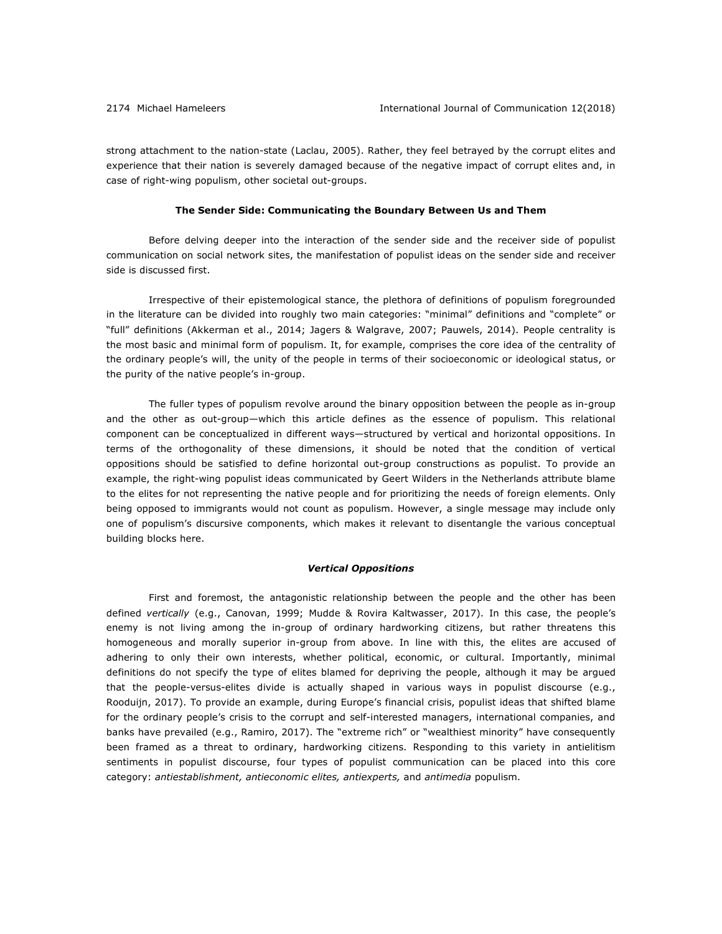strong attachment to the nation-state (Laclau, 2005). Rather, they feel betrayed by the corrupt elites and experience that their nation is severely damaged because of the negative impact of corrupt elites and, in case of right-wing populism, other societal out-groups.

#### **The Sender Side: Communicating the Boundary Between Us and Them**

Before delving deeper into the interaction of the sender side and the receiver side of populist communication on social network sites, the manifestation of populist ideas on the sender side and receiver side is discussed first.

Irrespective of their epistemological stance, the plethora of definitions of populism foregrounded in the literature can be divided into roughly two main categories: "minimal" definitions and "complete" or "full" definitions (Akkerman et al., 2014; Jagers & Walgrave, 2007; Pauwels, 2014). People centrality is the most basic and minimal form of populism. It, for example, comprises the core idea of the centrality of the ordinary people's will, the unity of the people in terms of their socioeconomic or ideological status, or the purity of the native people's in-group.

The fuller types of populism revolve around the binary opposition between the people as in-group and the other as out-group—which this article defines as the essence of populism. This relational component can be conceptualized in different ways—structured by vertical and horizontal oppositions. In terms of the orthogonality of these dimensions, it should be noted that the condition of vertical oppositions should be satisfied to define horizontal out-group constructions as populist. To provide an example, the right-wing populist ideas communicated by Geert Wilders in the Netherlands attribute blame to the elites for not representing the native people and for prioritizing the needs of foreign elements. Only being opposed to immigrants would not count as populism. However, a single message may include only one of populism's discursive components, which makes it relevant to disentangle the various conceptual building blocks here.

#### *Vertical Oppositions*

First and foremost, the antagonistic relationship between the people and the other has been defined *vertically* (e.g., Canovan, 1999; Mudde & Rovira Kaltwasser, 2017). In this case, the people's enemy is not living among the in-group of ordinary hardworking citizens, but rather threatens this homogeneous and morally superior in-group from above. In line with this, the elites are accused of adhering to only their own interests, whether political, economic, or cultural. Importantly, minimal definitions do not specify the type of elites blamed for depriving the people, although it may be argued that the people-versus-elites divide is actually shaped in various ways in populist discourse (e.g., Rooduijn, 2017). To provide an example, during Europe's financial crisis, populist ideas that shifted blame for the ordinary people's crisis to the corrupt and self-interested managers, international companies, and banks have prevailed (e.g., Ramiro, 2017). The "extreme rich" or "wealthiest minority" have consequently been framed as a threat to ordinary, hardworking citizens. Responding to this variety in antielitism sentiments in populist discourse, four types of populist communication can be placed into this core category: *antiestablishment, antieconomic elites, antiexperts,* and *antimedia* populism.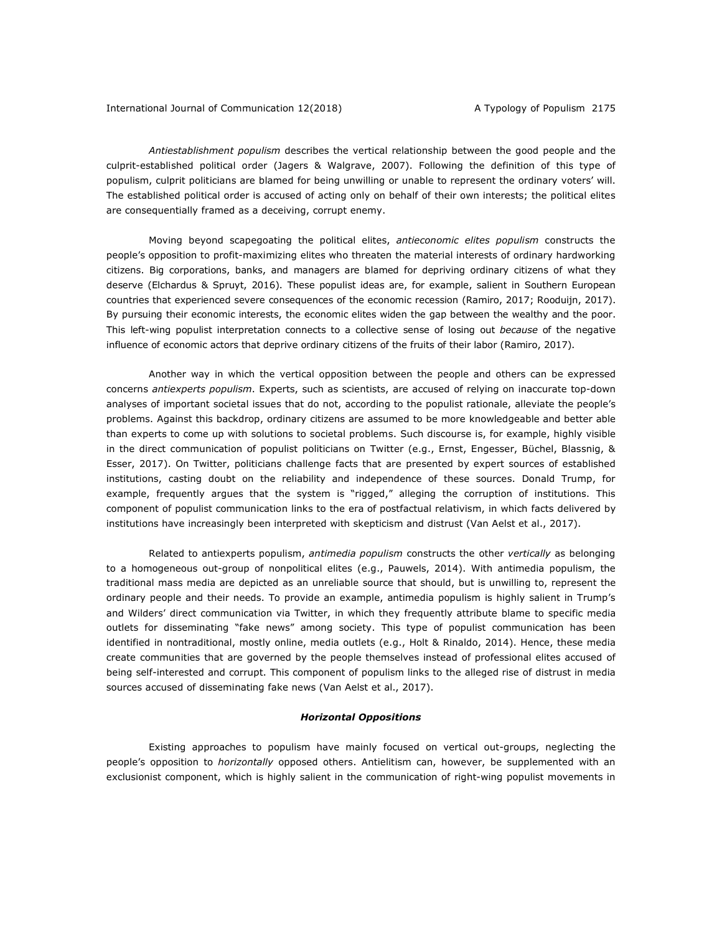*Antiestablishment populism* describes the vertical relationship between the good people and the culprit-established political order (Jagers & Walgrave, 2007). Following the definition of this type of populism, culprit politicians are blamed for being unwilling or unable to represent the ordinary voters' will. The established political order is accused of acting only on behalf of their own interests; the political elites are consequentially framed as a deceiving, corrupt enemy.

Moving beyond scapegoating the political elites, *antieconomic elites populism* constructs the people's opposition to profit-maximizing elites who threaten the material interests of ordinary hardworking citizens. Big corporations, banks, and managers are blamed for depriving ordinary citizens of what they deserve (Elchardus & Spruyt, 2016). These populist ideas are, for example, salient in Southern European countries that experienced severe consequences of the economic recession (Ramiro, 2017; Rooduijn, 2017). By pursuing their economic interests, the economic elites widen the gap between the wealthy and the poor. This left-wing populist interpretation connects to a collective sense of losing out *because* of the negative influence of economic actors that deprive ordinary citizens of the fruits of their labor (Ramiro, 2017).

Another way in which the vertical opposition between the people and others can be expressed concerns *antiexperts populism*. Experts, such as scientists, are accused of relying on inaccurate top-down analyses of important societal issues that do not, according to the populist rationale, alleviate the people's problems. Against this backdrop, ordinary citizens are assumed to be more knowledgeable and better able than experts to come up with solutions to societal problems. Such discourse is, for example, highly visible in the direct communication of populist politicians on Twitter (e.g., Ernst, Engesser, Büchel, Blassnig, & Esser, 2017). On Twitter, politicians challenge facts that are presented by expert sources of established institutions, casting doubt on the reliability and independence of these sources. Donald Trump, for example, frequently argues that the system is "rigged," alleging the corruption of institutions. This component of populist communication links to the era of postfactual relativism, in which facts delivered by institutions have increasingly been interpreted with skepticism and distrust (Van Aelst et al., 2017).

Related to antiexperts populism, *antimedia populism* constructs the other *vertically* as belonging to a homogeneous out-group of nonpolitical elites (e.g., Pauwels, 2014). With antimedia populism, the traditional mass media are depicted as an unreliable source that should, but is unwilling to, represent the ordinary people and their needs. To provide an example, antimedia populism is highly salient in Trump's and Wilders' direct communication via Twitter, in which they frequently attribute blame to specific media outlets for disseminating "fake news" among society. This type of populist communication has been identified in nontraditional, mostly online, media outlets (e.g., Holt & Rinaldo, 2014). Hence, these media create communities that are governed by the people themselves instead of professional elites accused of being self-interested and corrupt. This component of populism links to the alleged rise of distrust in media sources accused of disseminating fake news (Van Aelst et al., 2017).

#### *Horizontal Oppositions*

Existing approaches to populism have mainly focused on vertical out-groups, neglecting the people's opposition to *horizontally* opposed others. Antielitism can, however, be supplemented with an exclusionist component, which is highly salient in the communication of right-wing populist movements in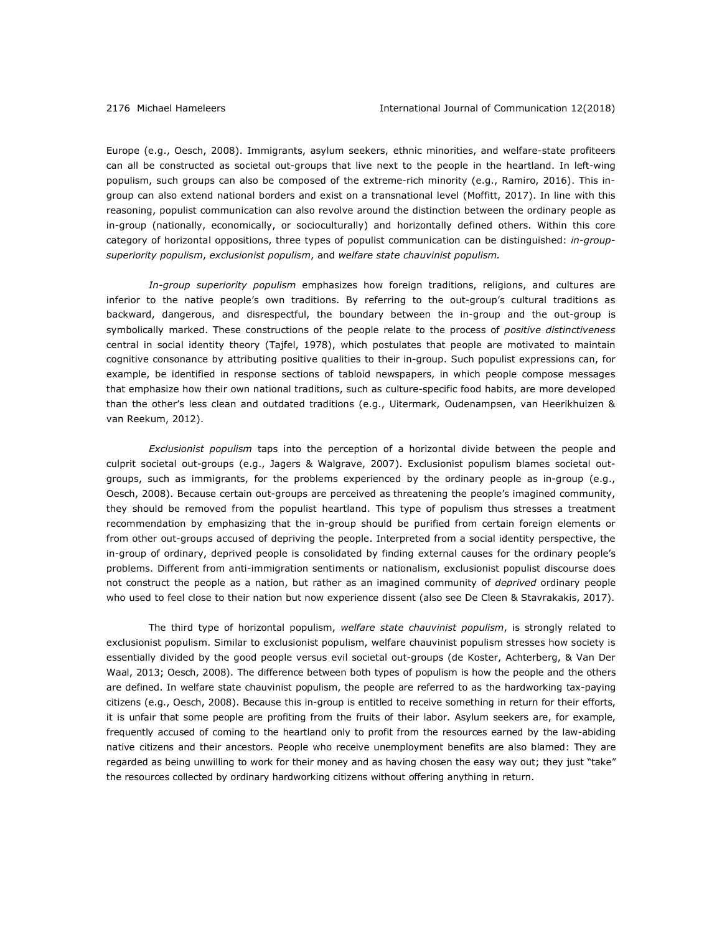Europe (e.g., Oesch, 2008). Immigrants, asylum seekers, ethnic minorities, and welfare-state profiteers can all be constructed as societal out-groups that live next to the people in the heartland. In left-wing populism, such groups can also be composed of the extreme-rich minority (e.g., Ramiro, 2016). This ingroup can also extend national borders and exist on a transnational level (Moffitt, 2017). In line with this reasoning, populist communication can also revolve around the distinction between the ordinary people as in-group (nationally, economically, or socioculturally) and horizontally defined others. Within this core category of horizontal oppositions, three types of populist communication can be distinguished: *in-groupsuperiority populism*, *exclusionist populism*, and *welfare state chauvinist populism.* 

*In-group superiority populism* emphasizes how foreign traditions, religions, and cultures are inferior to the native people's own traditions. By referring to the out-group's cultural traditions as backward, dangerous, and disrespectful, the boundary between the in-group and the out-group is symbolically marked. These constructions of the people relate to the process of *positive distinctiveness* central in social identity theory (Tajfel, 1978), which postulates that people are motivated to maintain cognitive consonance by attributing positive qualities to their in-group. Such populist expressions can, for example, be identified in response sections of tabloid newspapers, in which people compose messages that emphasize how their own national traditions, such as culture-specific food habits, are more developed than the other's less clean and outdated traditions (e.g., Uitermark, Oudenampsen, van Heerikhuizen & van Reekum, 2012).

*Exclusionist populism* taps into the perception of a horizontal divide between the people and culprit societal out-groups (e.g., Jagers & Walgrave, 2007). Exclusionist populism blames societal outgroups, such as immigrants, for the problems experienced by the ordinary people as in-group (e.g., Oesch, 2008). Because certain out-groups are perceived as threatening the people's imagined community, they should be removed from the populist heartland. This type of populism thus stresses a treatment recommendation by emphasizing that the in-group should be purified from certain foreign elements or from other out-groups accused of depriving the people. Interpreted from a social identity perspective, the in-group of ordinary, deprived people is consolidated by finding external causes for the ordinary people's problems. Different from anti-immigration sentiments or nationalism, exclusionist populist discourse does not construct the people as a nation, but rather as an imagined community of *deprived* ordinary people who used to feel close to their nation but now experience dissent (also see De Cleen & Stavrakakis, 2017).

The third type of horizontal populism, *welfare state chauvinist populism*, is strongly related to exclusionist populism. Similar to exclusionist populism, welfare chauvinist populism stresses how society is essentially divided by the good people versus evil societal out-groups (de Koster, Achterberg, & Van Der Waal, 2013; Oesch, 2008). The difference between both types of populism is how the people and the others are defined. In welfare state chauvinist populism, the people are referred to as the hardworking tax-paying citizens (e.g., Oesch, 2008). Because this in-group is entitled to receive something in return for their efforts, it is unfair that some people are profiting from the fruits of their labor. Asylum seekers are, for example, frequently accused of coming to the heartland only to profit from the resources earned by the law-abiding native citizens and their ancestors. People who receive unemployment benefits are also blamed: They are regarded as being unwilling to work for their money and as having chosen the easy way out; they just "take" the resources collected by ordinary hardworking citizens without offering anything in return.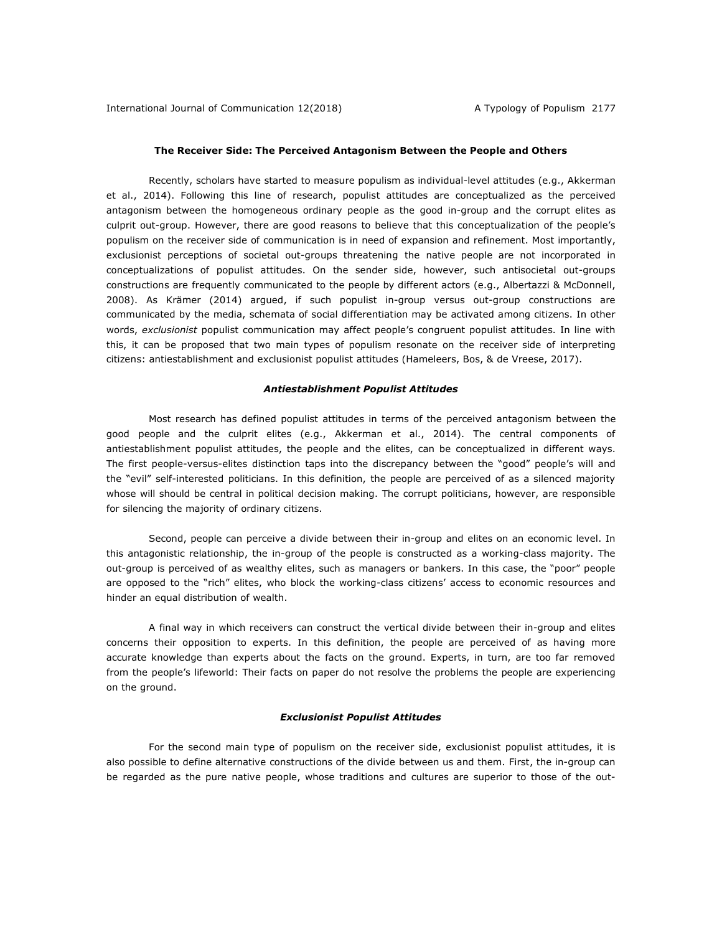#### **The Receiver Side: The Perceived Antagonism Between the People and Others**

Recently, scholars have started to measure populism as individual-level attitudes (e.g., Akkerman et al., 2014). Following this line of research, populist attitudes are conceptualized as the perceived antagonism between the homogeneous ordinary people as the good in-group and the corrupt elites as culprit out-group. However, there are good reasons to believe that this conceptualization of the people's populism on the receiver side of communication is in need of expansion and refinement. Most importantly, exclusionist perceptions of societal out-groups threatening the native people are not incorporated in conceptualizations of populist attitudes. On the sender side, however, such antisocietal out-groups constructions are frequently communicated to the people by different actors (e.g., Albertazzi & McDonnell, 2008). As Krämer (2014) argued, if such populist in-group versus out-group constructions are communicated by the media, schemata of social differentiation may be activated among citizens. In other words, *exclusionist* populist communication may affect people's congruent populist attitudes. In line with this, it can be proposed that two main types of populism resonate on the receiver side of interpreting citizens: antiestablishment and exclusionist populist attitudes (Hameleers, Bos, & de Vreese, 2017).

#### *Antiestablishment Populist Attitudes*

Most research has defined populist attitudes in terms of the perceived antagonism between the good people and the culprit elites (e.g., Akkerman et al., 2014). The central components of antiestablishment populist attitudes, the people and the elites, can be conceptualized in different ways. The first people-versus-elites distinction taps into the discrepancy between the "good" people's will and the "evil" self-interested politicians. In this definition, the people are perceived of as a silenced majority whose will should be central in political decision making. The corrupt politicians, however, are responsible for silencing the majority of ordinary citizens.

Second, people can perceive a divide between their in-group and elites on an economic level. In this antagonistic relationship, the in-group of the people is constructed as a working-class majority. The out-group is perceived of as wealthy elites, such as managers or bankers. In this case, the "poor" people are opposed to the "rich" elites, who block the working-class citizens' access to economic resources and hinder an equal distribution of wealth.

A final way in which receivers can construct the vertical divide between their in-group and elites concerns their opposition to experts. In this definition, the people are perceived of as having more accurate knowledge than experts about the facts on the ground. Experts, in turn, are too far removed from the people's lifeworld: Their facts on paper do not resolve the problems the people are experiencing on the ground.

#### *Exclusionist Populist Attitudes*

For the second main type of populism on the receiver side, exclusionist populist attitudes, it is also possible to define alternative constructions of the divide between us and them. First, the in-group can be regarded as the pure native people, whose traditions and cultures are superior to those of the out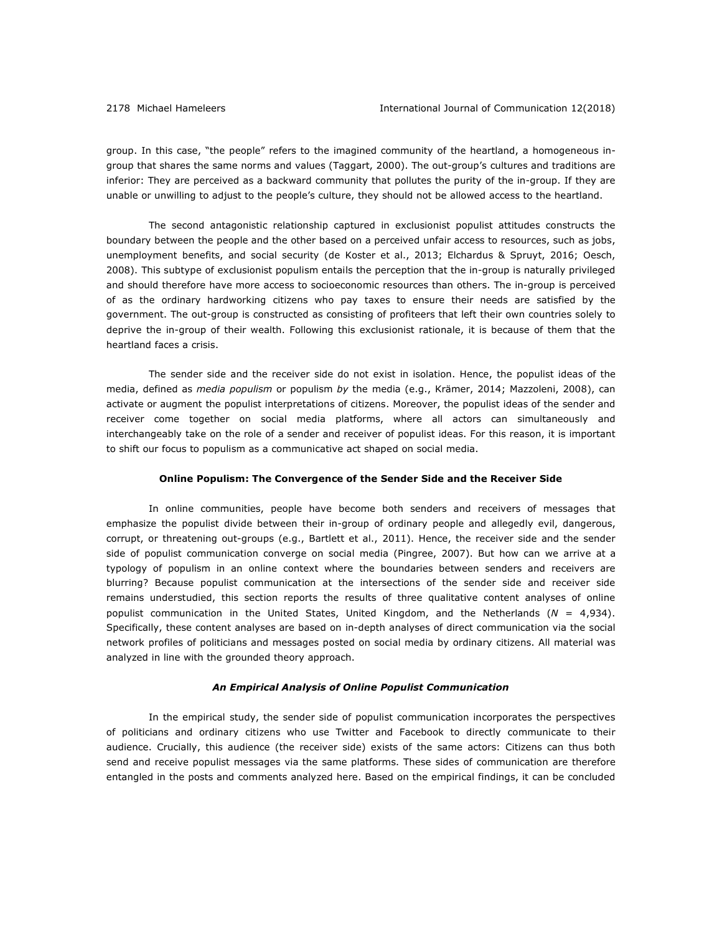group. In this case, "the people" refers to the imagined community of the heartland, a homogeneous ingroup that shares the same norms and values (Taggart, 2000). The out-group's cultures and traditions are inferior: They are perceived as a backward community that pollutes the purity of the in-group. If they are unable or unwilling to adjust to the people's culture, they should not be allowed access to the heartland.

The second antagonistic relationship captured in exclusionist populist attitudes constructs the boundary between the people and the other based on a perceived unfair access to resources, such as jobs, unemployment benefits, and social security (de Koster et al., 2013; Elchardus & Spruyt, 2016; Oesch, 2008). This subtype of exclusionist populism entails the perception that the in-group is naturally privileged and should therefore have more access to socioeconomic resources than others. The in-group is perceived of as the ordinary hardworking citizens who pay taxes to ensure their needs are satisfied by the government. The out-group is constructed as consisting of profiteers that left their own countries solely to deprive the in-group of their wealth. Following this exclusionist rationale, it is because of them that the heartland faces a crisis.

The sender side and the receiver side do not exist in isolation. Hence, the populist ideas of the media, defined as *media populism* or populism *by* the media (e.g., Krämer, 2014; Mazzoleni, 2008), can activate or augment the populist interpretations of citizens. Moreover, the populist ideas of the sender and receiver come together on social media platforms, where all actors can simultaneously and interchangeably take on the role of a sender and receiver of populist ideas. For this reason, it is important to shift our focus to populism as a communicative act shaped on social media.

#### **Online Populism: The Convergence of the Sender Side and the Receiver Side**

In online communities, people have become both senders and receivers of messages that emphasize the populist divide between their in-group of ordinary people and allegedly evil, dangerous, corrupt, or threatening out-groups (e.g., Bartlett et al., 2011). Hence, the receiver side and the sender side of populist communication converge on social media (Pingree, 2007). But how can we arrive at a typology of populism in an online context where the boundaries between senders and receivers are blurring? Because populist communication at the intersections of the sender side and receiver side remains understudied, this section reports the results of three qualitative content analyses of online populist communication in the United States, United Kingdom, and the Netherlands (*N* = 4,934). Specifically, these content analyses are based on in-depth analyses of direct communication via the social network profiles of politicians and messages posted on social media by ordinary citizens. All material was analyzed in line with the grounded theory approach.

#### *An Empirical Analysis of Online Populist Communication*

In the empirical study, the sender side of populist communication incorporates the perspectives of politicians and ordinary citizens who use Twitter and Facebook to directly communicate to their audience. Crucially, this audience (the receiver side) exists of the same actors: Citizens can thus both send and receive populist messages via the same platforms. These sides of communication are therefore entangled in the posts and comments analyzed here. Based on the empirical findings, it can be concluded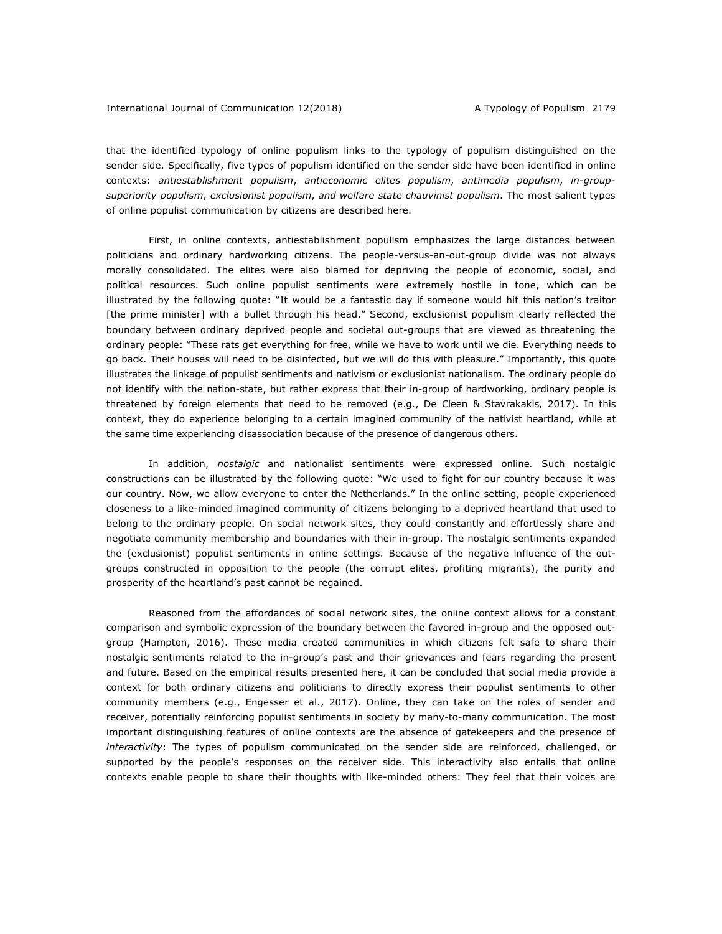that the identified typology of online populism links to the typology of populism distinguished on the sender side. Specifically, five types of populism identified on the sender side have been identified in online contexts: *antiestablishment populism*, *antieconomic elites populism*, *antimedia populism*, *in-groupsuperiority populism*, *exclusionist populism*, *and welfare state chauvinist populism*. The most salient types of online populist communication by citizens are described here.

First, in online contexts, antiestablishment populism emphasizes the large distances between politicians and ordinary hardworking citizens. The people-versus-an-out-group divide was not always morally consolidated. The elites were also blamed for depriving the people of economic, social, and political resources. Such online populist sentiments were extremely hostile in tone, which can be illustrated by the following quote: "It would be a fantastic day if someone would hit this nation's traitor [the prime minister] with a bullet through his head." Second, exclusionist populism clearly reflected the boundary between ordinary deprived people and societal out-groups that are viewed as threatening the ordinary people: "These rats get everything for free, while we have to work until we die. Everything needs to go back. Their houses will need to be disinfected, but we will do this with pleasure." Importantly, this quote illustrates the linkage of populist sentiments and nativism or exclusionist nationalism. The ordinary people do not identify with the nation-state, but rather express that their in-group of hardworking, ordinary people is threatened by foreign elements that need to be removed (e.g., De Cleen & Stavrakakis, 2017). In this context, they do experience belonging to a certain imagined community of the nativist heartland, while at the same time experiencing disassociation because of the presence of dangerous others.

In addition, *nostalgic* and nationalist sentiments were expressed online*.* Such nostalgic constructions can be illustrated by the following quote: "We used to fight for our country because it was our country. Now, we allow everyone to enter the Netherlands." In the online setting, people experienced closeness to a like-minded imagined community of citizens belonging to a deprived heartland that used to belong to the ordinary people. On social network sites, they could constantly and effortlessly share and negotiate community membership and boundaries with their in-group. The nostalgic sentiments expanded the (exclusionist) populist sentiments in online settings. Because of the negative influence of the outgroups constructed in opposition to the people (the corrupt elites, profiting migrants), the purity and prosperity of the heartland's past cannot be regained.

Reasoned from the affordances of social network sites, the online context allows for a constant comparison and symbolic expression of the boundary between the favored in-group and the opposed outgroup (Hampton, 2016). These media created communities in which citizens felt safe to share their nostalgic sentiments related to the in-group's past and their grievances and fears regarding the present and future. Based on the empirical results presented here, it can be concluded that social media provide a context for both ordinary citizens and politicians to directly express their populist sentiments to other community members (e.g., Engesser et al., 2017). Online, they can take on the roles of sender and receiver, potentially reinforcing populist sentiments in society by many-to-many communication. The most important distinguishing features of online contexts are the absence of gatekeepers and the presence of *interactivity*: The types of populism communicated on the sender side are reinforced, challenged, or supported by the people's responses on the receiver side. This interactivity also entails that online contexts enable people to share their thoughts with like-minded others: They feel that their voices are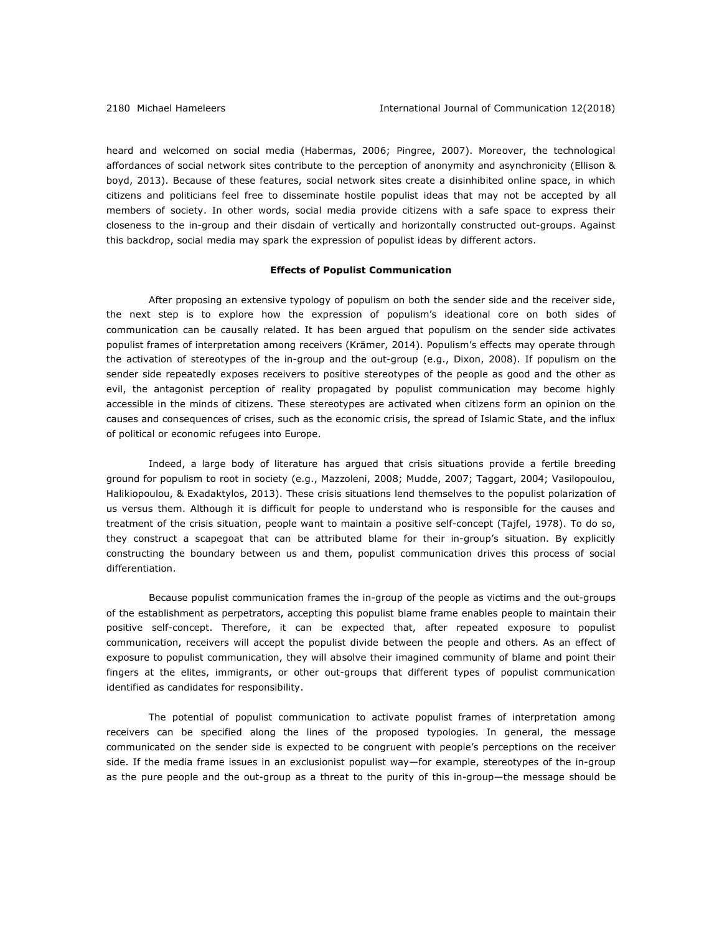heard and welcomed on social media (Habermas, 2006; Pingree, 2007). Moreover, the technological affordances of social network sites contribute to the perception of anonymity and asynchronicity (Ellison & boyd, 2013). Because of these features, social network sites create a disinhibited online space, in which citizens and politicians feel free to disseminate hostile populist ideas that may not be accepted by all members of society. In other words, social media provide citizens with a safe space to express their closeness to the in-group and their disdain of vertically and horizontally constructed out-groups. Against this backdrop, social media may spark the expression of populist ideas by different actors.

#### **Effects of Populist Communication**

After proposing an extensive typology of populism on both the sender side and the receiver side, the next step is to explore how the expression of populism's ideational core on both sides of communication can be causally related. It has been argued that populism on the sender side activates populist frames of interpretation among receivers (Krämer, 2014). Populism's effects may operate through the activation of stereotypes of the in-group and the out-group (e.g., Dixon, 2008). If populism on the sender side repeatedly exposes receivers to positive stereotypes of the people as good and the other as evil, the antagonist perception of reality propagated by populist communication may become highly accessible in the minds of citizens. These stereotypes are activated when citizens form an opinion on the causes and consequences of crises, such as the economic crisis, the spread of Islamic State, and the influx of political or economic refugees into Europe.

Indeed, a large body of literature has argued that crisis situations provide a fertile breeding ground for populism to root in society (e.g., Mazzoleni, 2008; Mudde, 2007; Taggart, 2004; Vasilopoulou, Halikiopoulou, & Exadaktylos, 2013). These crisis situations lend themselves to the populist polarization of us versus them. Although it is difficult for people to understand who is responsible for the causes and treatment of the crisis situation, people want to maintain a positive self-concept (Tajfel, 1978). To do so, they construct a scapegoat that can be attributed blame for their in-group's situation. By explicitly constructing the boundary between us and them, populist communication drives this process of social differentiation.

Because populist communication frames the in-group of the people as victims and the out-groups of the establishment as perpetrators, accepting this populist blame frame enables people to maintain their positive self-concept. Therefore, it can be expected that, after repeated exposure to populist communication, receivers will accept the populist divide between the people and others. As an effect of exposure to populist communication, they will absolve their imagined community of blame and point their fingers at the elites, immigrants, or other out-groups that different types of populist communication identified as candidates for responsibility.

The potential of populist communication to activate populist frames of interpretation among receivers can be specified along the lines of the proposed typologies. In general, the message communicated on the sender side is expected to be congruent with people's perceptions on the receiver side. If the media frame issues in an exclusionist populist way—for example, stereotypes of the in-group as the pure people and the out-group as a threat to the purity of this in-group—the message should be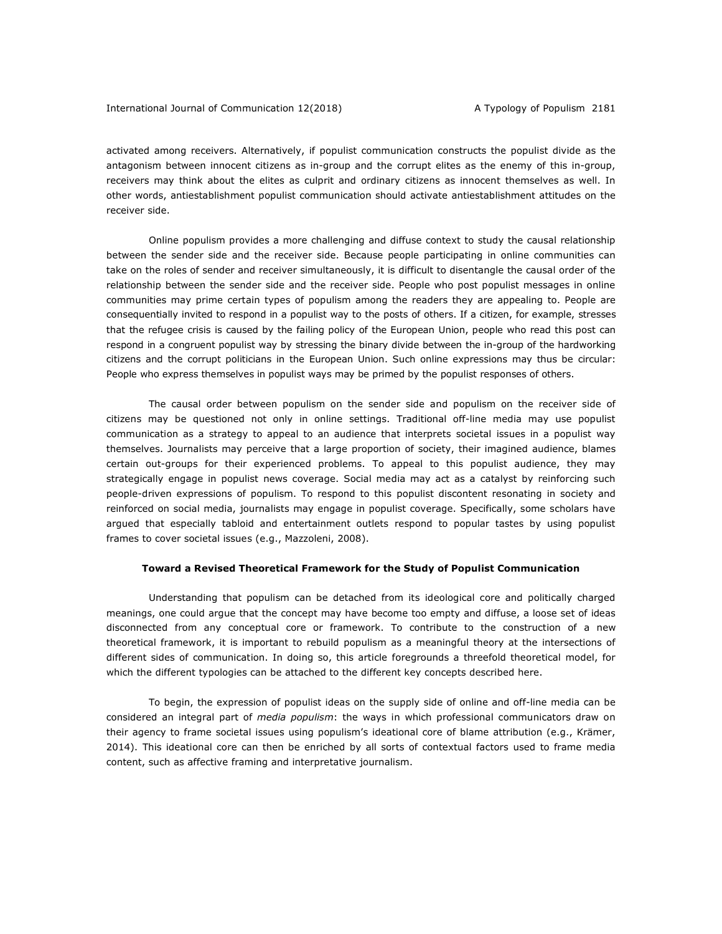activated among receivers. Alternatively, if populist communication constructs the populist divide as the antagonism between innocent citizens as in-group and the corrupt elites as the enemy of this in-group, receivers may think about the elites as culprit and ordinary citizens as innocent themselves as well. In other words, antiestablishment populist communication should activate antiestablishment attitudes on the receiver side.

Online populism provides a more challenging and diffuse context to study the causal relationship between the sender side and the receiver side. Because people participating in online communities can take on the roles of sender and receiver simultaneously, it is difficult to disentangle the causal order of the relationship between the sender side and the receiver side. People who post populist messages in online communities may prime certain types of populism among the readers they are appealing to. People are consequentially invited to respond in a populist way to the posts of others. If a citizen, for example, stresses that the refugee crisis is caused by the failing policy of the European Union, people who read this post can respond in a congruent populist way by stressing the binary divide between the in-group of the hardworking citizens and the corrupt politicians in the European Union. Such online expressions may thus be circular: People who express themselves in populist ways may be primed by the populist responses of others.

The causal order between populism on the sender side and populism on the receiver side of citizens may be questioned not only in online settings. Traditional off-line media may use populist communication as a strategy to appeal to an audience that interprets societal issues in a populist way themselves. Journalists may perceive that a large proportion of society, their imagined audience, blames certain out-groups for their experienced problems. To appeal to this populist audience, they may strategically engage in populist news coverage. Social media may act as a catalyst by reinforcing such people-driven expressions of populism. To respond to this populist discontent resonating in society and reinforced on social media, journalists may engage in populist coverage. Specifically, some scholars have argued that especially tabloid and entertainment outlets respond to popular tastes by using populist frames to cover societal issues (e.g., Mazzoleni, 2008).

#### **Toward a Revised Theoretical Framework for the Study of Populist Communication**

Understanding that populism can be detached from its ideological core and politically charged meanings, one could argue that the concept may have become too empty and diffuse, a loose set of ideas disconnected from any conceptual core or framework. To contribute to the construction of a new theoretical framework, it is important to rebuild populism as a meaningful theory at the intersections of different sides of communication. In doing so, this article foregrounds a threefold theoretical model, for which the different typologies can be attached to the different key concepts described here.

To begin, the expression of populist ideas on the supply side of online and off-line media can be considered an integral part of *media populism*: the ways in which professional communicators draw on their agency to frame societal issues using populism's ideational core of blame attribution (e.g., Krämer, 2014). This ideational core can then be enriched by all sorts of contextual factors used to frame media content, such as affective framing and interpretative journalism.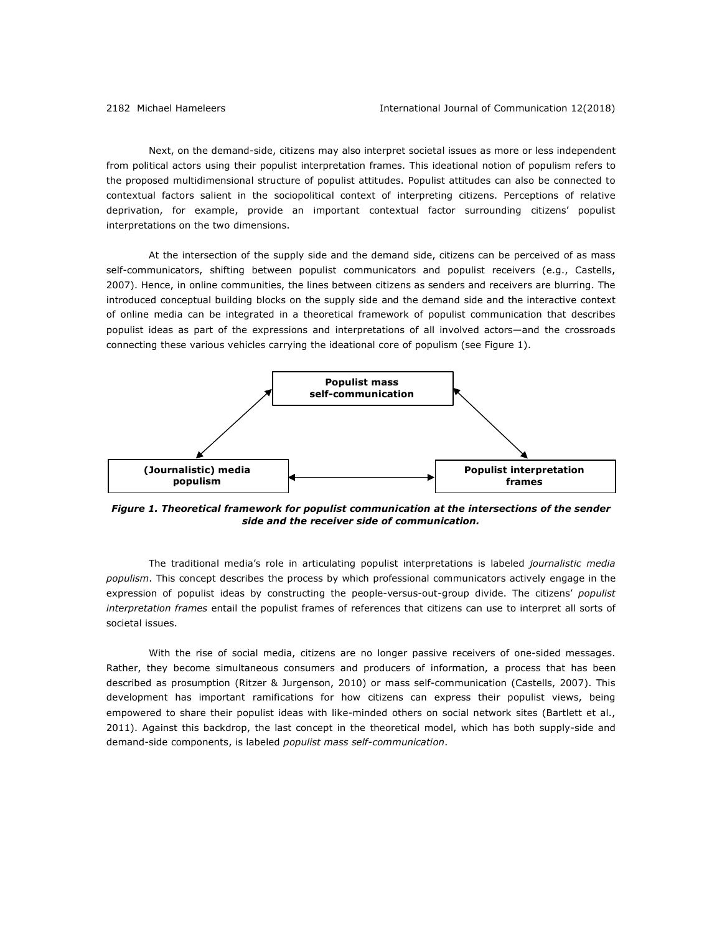Next, on the demand-side, citizens may also interpret societal issues as more or less independent from political actors using their populist interpretation frames. This ideational notion of populism refers to the proposed multidimensional structure of populist attitudes. Populist attitudes can also be connected to contextual factors salient in the sociopolitical context of interpreting citizens. Perceptions of relative deprivation, for example, provide an important contextual factor surrounding citizens' populist interpretations on the two dimensions.

At the intersection of the supply side and the demand side, citizens can be perceived of as mass self-communicators, shifting between populist communicators and populist receivers (e.g., Castells, 2007). Hence, in online communities, the lines between citizens as senders and receivers are blurring. The introduced conceptual building blocks on the supply side and the demand side and the interactive context of online media can be integrated in a theoretical framework of populist communication that describes populist ideas as part of the expressions and interpretations of all involved actors—and the crossroads connecting these various vehicles carrying the ideational core of populism (see Figure 1).



*Figure 1. Theoretical framework for populist communication at the intersections of the sender side and the receiver side of communication.*

The traditional media's role in articulating populist interpretations is labeled *journalistic media populism*. This concept describes the process by which professional communicators actively engage in the expression of populist ideas by constructing the people-versus-out-group divide. The citizens' *populist interpretation frames* entail the populist frames of references that citizens can use to interpret all sorts of societal issues.

With the rise of social media, citizens are no longer passive receivers of one-sided messages. Rather, they become simultaneous consumers and producers of information, a process that has been described as prosumption (Ritzer & Jurgenson, 2010) or mass self-communication (Castells, 2007). This development has important ramifications for how citizens can express their populist views, being empowered to share their populist ideas with like-minded others on social network sites (Bartlett et al., 2011). Against this backdrop, the last concept in the theoretical model, which has both supply-side and demand-side components, is labeled *populist mass self-communication*.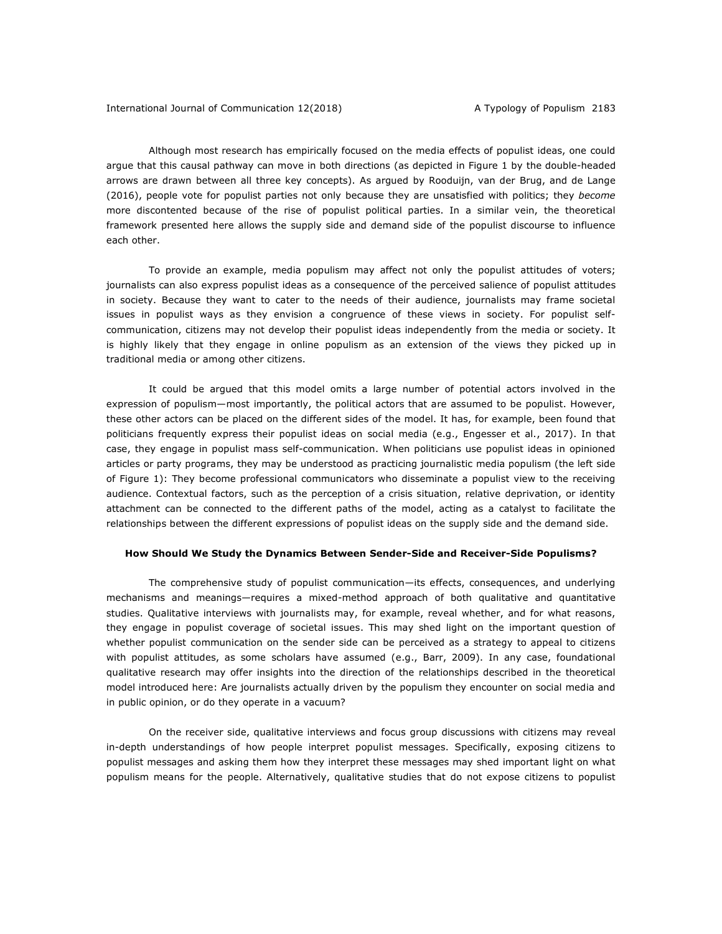Although most research has empirically focused on the media effects of populist ideas, one could argue that this causal pathway can move in both directions (as depicted in Figure 1 by the double-headed arrows are drawn between all three key concepts). As argued by Rooduijn, van der Brug, and de Lange (2016), people vote for populist parties not only because they are unsatisfied with politics; they *become* more discontented because of the rise of populist political parties. In a similar vein, the theoretical framework presented here allows the supply side and demand side of the populist discourse to influence each other.

To provide an example, media populism may affect not only the populist attitudes of voters; journalists can also express populist ideas as a consequence of the perceived salience of populist attitudes in society. Because they want to cater to the needs of their audience, journalists may frame societal issues in populist ways as they envision a congruence of these views in society. For populist selfcommunication, citizens may not develop their populist ideas independently from the media or society. It is highly likely that they engage in online populism as an extension of the views they picked up in traditional media or among other citizens.

It could be argued that this model omits a large number of potential actors involved in the expression of populism—most importantly, the political actors that are assumed to be populist. However, these other actors can be placed on the different sides of the model. It has, for example, been found that politicians frequently express their populist ideas on social media (e.g., Engesser et al., 2017). In that case, they engage in populist mass self-communication. When politicians use populist ideas in opinioned articles or party programs, they may be understood as practicing journalistic media populism (the left side of Figure 1): They become professional communicators who disseminate a populist view to the receiving audience. Contextual factors, such as the perception of a crisis situation, relative deprivation, or identity attachment can be connected to the different paths of the model, acting as a catalyst to facilitate the relationships between the different expressions of populist ideas on the supply side and the demand side.

#### **How Should We Study the Dynamics Between Sender-Side and Receiver-Side Populisms?**

The comprehensive study of populist communication—its effects, consequences, and underlying mechanisms and meanings—requires a mixed-method approach of both qualitative and quantitative studies. Qualitative interviews with journalists may, for example, reveal whether, and for what reasons, they engage in populist coverage of societal issues. This may shed light on the important question of whether populist communication on the sender side can be perceived as a strategy to appeal to citizens with populist attitudes, as some scholars have assumed (e.g., Barr, 2009). In any case, foundational qualitative research may offer insights into the direction of the relationships described in the theoretical model introduced here: Are journalists actually driven by the populism they encounter on social media and in public opinion, or do they operate in a vacuum?

On the receiver side, qualitative interviews and focus group discussions with citizens may reveal in-depth understandings of how people interpret populist messages. Specifically, exposing citizens to populist messages and asking them how they interpret these messages may shed important light on what populism means for the people. Alternatively, qualitative studies that do not expose citizens to populist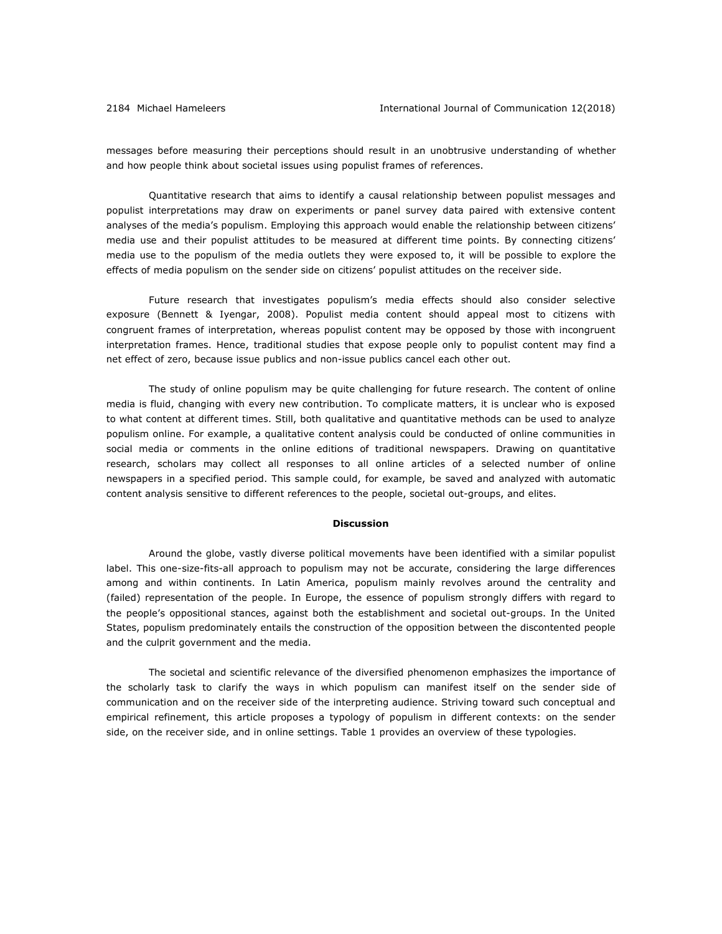messages before measuring their perceptions should result in an unobtrusive understanding of whether and how people think about societal issues using populist frames of references.

Quantitative research that aims to identify a causal relationship between populist messages and populist interpretations may draw on experiments or panel survey data paired with extensive content analyses of the media's populism. Employing this approach would enable the relationship between citizens' media use and their populist attitudes to be measured at different time points. By connecting citizens' media use to the populism of the media outlets they were exposed to, it will be possible to explore the effects of media populism on the sender side on citizens' populist attitudes on the receiver side.

Future research that investigates populism's media effects should also consider selective exposure (Bennett & Iyengar, 2008). Populist media content should appeal most to citizens with congruent frames of interpretation, whereas populist content may be opposed by those with incongruent interpretation frames. Hence, traditional studies that expose people only to populist content may find a net effect of zero, because issue publics and non-issue publics cancel each other out.

The study of online populism may be quite challenging for future research. The content of online media is fluid, changing with every new contribution. To complicate matters, it is unclear who is exposed to what content at different times. Still, both qualitative and quantitative methods can be used to analyze populism online. For example, a qualitative content analysis could be conducted of online communities in social media or comments in the online editions of traditional newspapers. Drawing on quantitative research, scholars may collect all responses to all online articles of a selected number of online newspapers in a specified period. This sample could, for example, be saved and analyzed with automatic content analysis sensitive to different references to the people, societal out-groups, and elites.

#### **Discussion**

Around the globe, vastly diverse political movements have been identified with a similar populist label. This one-size-fits-all approach to populism may not be accurate, considering the large differences among and within continents. In Latin America, populism mainly revolves around the centrality and (failed) representation of the people. In Europe, the essence of populism strongly differs with regard to the people's oppositional stances, against both the establishment and societal out-groups. In the United States, populism predominately entails the construction of the opposition between the discontented people and the culprit government and the media.

The societal and scientific relevance of the diversified phenomenon emphasizes the importance of the scholarly task to clarify the ways in which populism can manifest itself on the sender side of communication and on the receiver side of the interpreting audience. Striving toward such conceptual and empirical refinement, this article proposes a typology of populism in different contexts: on the sender side, on the receiver side, and in online settings. Table 1 provides an overview of these typologies.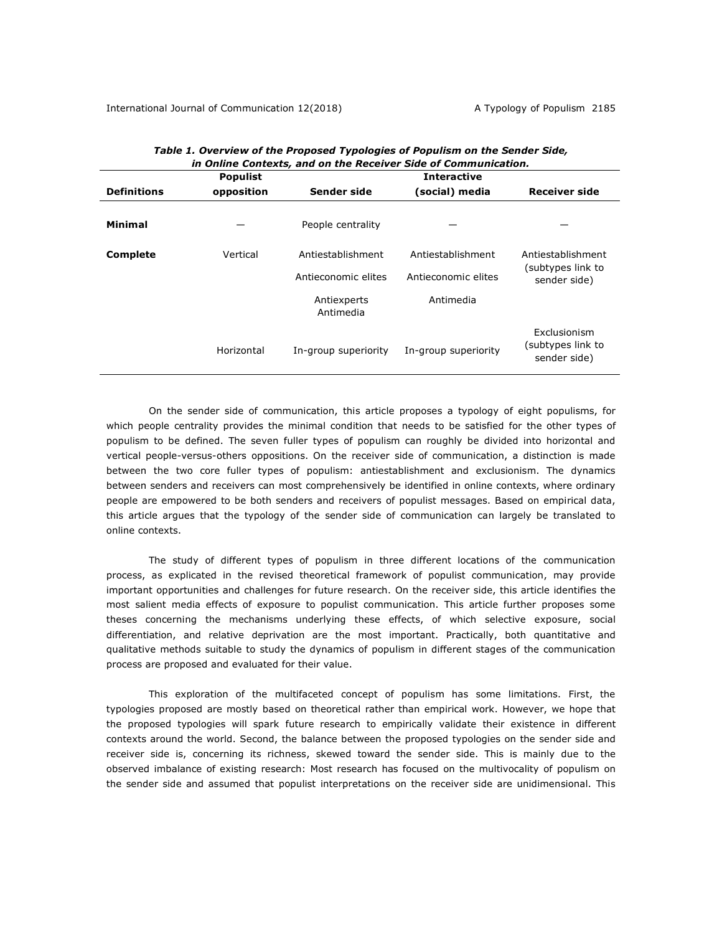|                    | <b>Populist</b> |                          | <b>Interactive</b>   |                                                   |
|--------------------|-----------------|--------------------------|----------------------|---------------------------------------------------|
| <b>Definitions</b> | opposition      | Sender side              | (social) media       | <b>Receiver side</b>                              |
| <b>Minimal</b>     |                 | People centrality        |                      |                                                   |
| <b>Complete</b>    | Vertical        | Antiestablishment        | Antiestablishment    | Antiestablishment                                 |
|                    |                 | Antieconomic elites      | Antieconomic elites  | (subtypes link to<br>sender side)                 |
|                    |                 | Antiexperts<br>Antimedia | Antimedia            |                                                   |
|                    | Horizontal      | In-group superiority     | In-group superiority | Exclusionism<br>(subtypes link to<br>sender side) |

| Table 1. Overview of the Proposed Typologies of Populism on the Sender Side, |
|------------------------------------------------------------------------------|
| in Online Contexts, and on the Receiver Side of Communication.               |

On the sender side of communication, this article proposes a typology of eight populisms, for which people centrality provides the minimal condition that needs to be satisfied for the other types of populism to be defined. The seven fuller types of populism can roughly be divided into horizontal and vertical people-versus-others oppositions. On the receiver side of communication, a distinction is made between the two core fuller types of populism: antiestablishment and exclusionism. The dynamics between senders and receivers can most comprehensively be identified in online contexts, where ordinary people are empowered to be both senders and receivers of populist messages. Based on empirical data, this article argues that the typology of the sender side of communication can largely be translated to online contexts.

The study of different types of populism in three different locations of the communication process, as explicated in the revised theoretical framework of populist communication, may provide important opportunities and challenges for future research. On the receiver side, this article identifies the most salient media effects of exposure to populist communication. This article further proposes some theses concerning the mechanisms underlying these effects, of which selective exposure, social differentiation, and relative deprivation are the most important. Practically, both quantitative and qualitative methods suitable to study the dynamics of populism in different stages of the communication process are proposed and evaluated for their value.

This exploration of the multifaceted concept of populism has some limitations. First, the typologies proposed are mostly based on theoretical rather than empirical work. However, we hope that the proposed typologies will spark future research to empirically validate their existence in different contexts around the world. Second, the balance between the proposed typologies on the sender side and receiver side is, concerning its richness, skewed toward the sender side. This is mainly due to the observed imbalance of existing research: Most research has focused on the multivocality of populism on the sender side and assumed that populist interpretations on the receiver side are unidimensional. This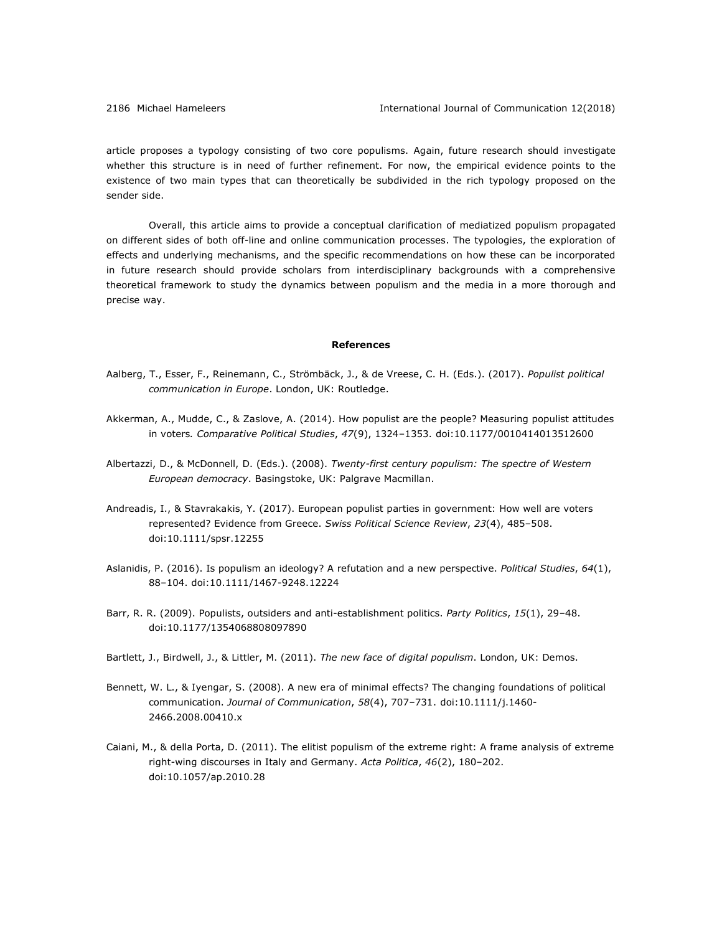article proposes a typology consisting of two core populisms. Again, future research should investigate whether this structure is in need of further refinement. For now, the empirical evidence points to the existence of two main types that can theoretically be subdivided in the rich typology proposed on the sender side.

Overall, this article aims to provide a conceptual clarification of mediatized populism propagated on different sides of both off-line and online communication processes. The typologies, the exploration of effects and underlying mechanisms, and the specific recommendations on how these can be incorporated in future research should provide scholars from interdisciplinary backgrounds with a comprehensive theoretical framework to study the dynamics between populism and the media in a more thorough and precise way.

#### **References**

- Aalberg, T., Esser, F., Reinemann, C., Strömbäck, J., & de Vreese, C. H. (Eds.). (2017). *Populist political communication in Europe*. London, UK: Routledge.
- Akkerman, A., Mudde, C., & Zaslove, A. (2014). How populist are the people? Measuring populist attitudes in voters*. Comparative Political Studies*, *47*(9), 1324–1353. doi:10.1177/0010414013512600
- Albertazzi, D., & McDonnell, D. (Eds.). (2008). *Twenty-first century populism: The spectre of Western European democracy*. Basingstoke, UK: Palgrave Macmillan.
- Andreadis, I., & Stavrakakis, Y. (2017). European populist parties in government: How well are voters represented? Evidence from Greece. *Swiss Political Science Review*, *23*(4), 485–508. doi:10.1111/spsr.12255
- Aslanidis, P. (2016). Is populism an ideology? A refutation and a new perspective. *Political Studies*, *64*(1), 88–104. doi:10.1111/1467-9248.12224
- Barr, R. R. (2009). Populists, outsiders and anti-establishment politics. *Party Politics*, *15*(1), 29–48. doi:10.1177/1354068808097890
- Bartlett, J., Birdwell, J., & Littler, M. (2011). *The new face of digital populism*. London, UK: Demos.
- Bennett, W. L., & Iyengar, S. (2008). A new era of minimal effects? The changing foundations of political communication. *Journal of Communication*, *58*(4), 707–731. doi:10.1111/j.1460- 2466.2008.00410.x
- Caiani, M., & della Porta, D. (2011). The elitist populism of the extreme right: A frame analysis of extreme right-wing discourses in Italy and Germany. *Acta Politica*, *46*(2), 180–202. doi:10.1057/ap.2010.28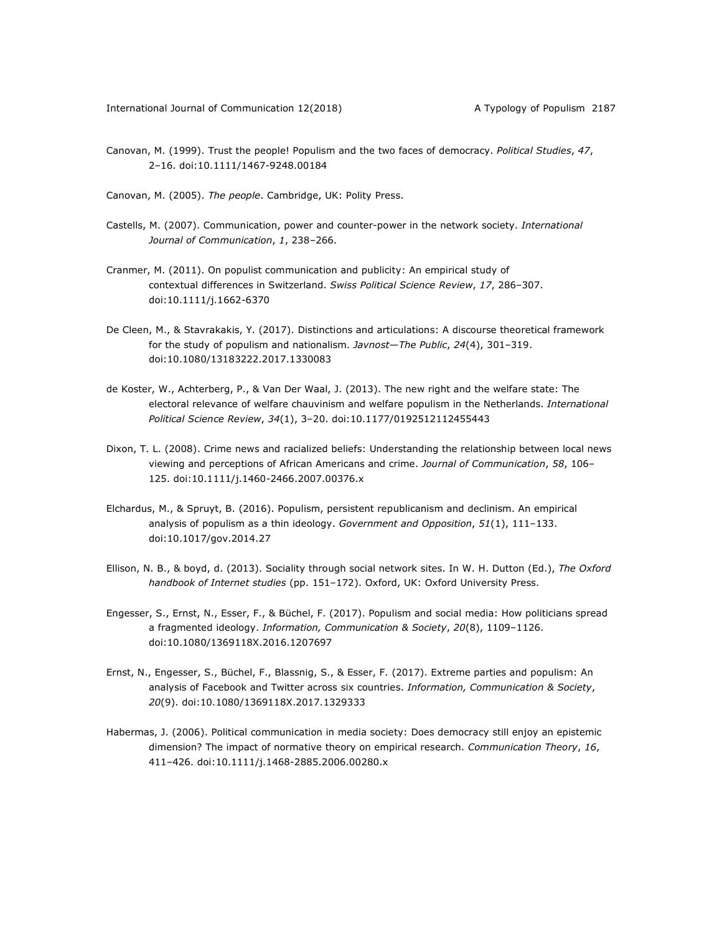- Canovan, M. (1999). Trust the people! Populism and the two faces of democracy. *Political Studies*, *47*, 2–16. doi:10.1111/1467-9248.00184
- Canovan, M. (2005). *The people*. Cambridge, UK: Polity Press.
- Castells, M. (2007). Communication, power and counter-power in the network society. *International Journal of Communication*, *1*, 238–266.
- Cranmer, M. (2011). On populist communication and publicity: An empirical study of contextual differences in Switzerland. *Swiss Political Science Review*, *17*, 286–307. doi:10.1111/j.1662-6370
- De Cleen, M., & Stavrakakis, Y. (2017). Distinctions and articulations: A discourse theoretical framework for the study of populism and nationalism. *Javnost—The Public*, *24*(4), 301–319. doi:10.1080/13183222.2017.1330083
- de Koster, W., Achterberg, P., & Van Der Waal, J. (2013). The new right and the welfare state: The electoral relevance of welfare chauvinism and welfare populism in the Netherlands. *International Political Science Review*, *34*(1), 3–20. doi:10.1177/0192512112455443
- Dixon, T. L. (2008). Crime news and racialized beliefs: Understanding the relationship between local news viewing and perceptions of African Americans and crime. *Journal of Communication*, *58*, 106– 125. doi:10.1111/j.1460-2466.2007.00376.x
- Elchardus, M., & Spruyt, B. (2016). Populism, persistent republicanism and declinism. An empirical analysis of populism as a thin ideology. *Government and Opposition*, *51*(1), 111–133. doi:10.1017/gov.2014.27
- Ellison, N. B., & boyd, d. (2013). Sociality through social network sites. In W. H. Dutton (Ed.), *The Oxford handbook of Internet studies* (pp. 151–172). Oxford, UK: Oxford University Press.
- Engesser, S., Ernst, N., Esser, F., & Büchel, F. (2017). Populism and social media: How politicians spread a fragmented ideology. *Information, Communication & Society*, *20*(8), 1109–1126. doi:10.1080/1369118X.2016.1207697
- Ernst, N., Engesser, S., Büchel, F., Blassnig, S., & Esser, F. (2017). Extreme parties and populism: An analysis of Facebook and Twitter across six countries. *Information, Communication & Society*, *20*(9). doi:10.1080/1369118X.2017.1329333
- Habermas, J. (2006). Political communication in media society: Does democracy still enjoy an epistemic dimension? The impact of normative theory on empirical research. *Communication Theory*, *16*, 411–426. doi:10.1111/j.1468-2885.2006.00280.x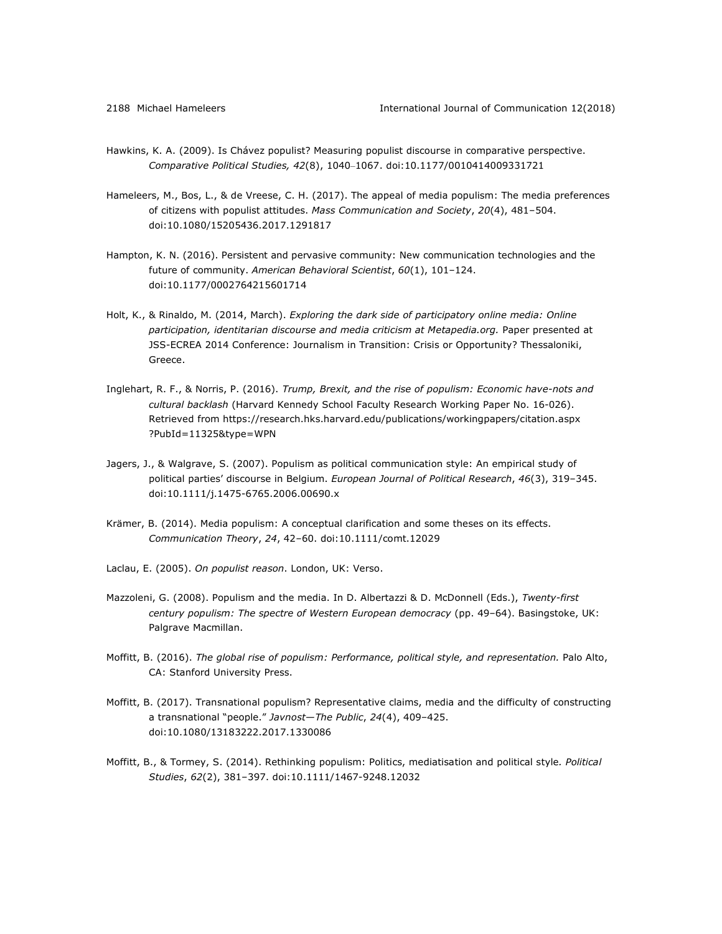- Hawkins, K. A. (2009). Is Chávez populist? Measuring populist discourse in comparative perspective. *Comparative Political Studies, 42*(8), 1040‒1067. doi:10.1177/0010414009331721
- Hameleers, M., Bos, L., & de Vreese, C. H. (2017). The appeal of media populism: The media preferences of citizens with populist attitudes. *Mass Communication and Society*, *20*(4), 481–504. doi:10.1080/15205436.2017.1291817
- Hampton, K. N. (2016). Persistent and pervasive community: New communication technologies and the future of community. *American Behavioral Scientist*, *60*(1), 101–124. doi:10.1177/0002764215601714
- Holt, K., & Rinaldo, M. (2014, March). *Exploring the dark side of participatory online media: Online participation, identitarian discourse and media criticism at Metapedia.org.* Paper presented at JSS-ECREA 2014 Conference: Journalism in Transition: Crisis or Opportunity? Thessaloniki, Greece.
- Inglehart, R. F., & Norris, P. (2016). *Trump, Brexit, and the rise of populism: Economic have-nots and cultural backlash* (Harvard Kennedy School Faculty Research Working Paper No. 16-026). Retrieved from https://research.hks.harvard.edu/publications/workingpapers/citation.aspx ?PubId=11325&type=WPN
- Jagers, J., & Walgrave, S. (2007). Populism as political communication style: An empirical study of political parties' discourse in Belgium. *European Journal of Political Research*, *46*(3), 319–345. doi:10.1111/j.1475-6765.2006.00690.x
- Krämer, B. (2014). Media populism: A conceptual clarification and some theses on its effects. *Communication Theory*, *24*, 42–60. doi:10.1111/comt.12029
- Laclau, E. (2005). *On populist reason*. London, UK: Verso.
- Mazzoleni, G. (2008). Populism and the media. In D. Albertazzi & D. McDonnell (Eds.), *Twenty-first century populism: The spectre of Western European democracy* (pp. 49–64). Basingstoke, UK: Palgrave Macmillan.
- Moffitt, B. (2016). *The global rise of populism: Performance, political style, and representation.* Palo Alto, CA: Stanford University Press.
- Moffitt, B. (2017). Transnational populism? Representative claims, media and the difficulty of constructing a transnational "people." *Javnost—The Public*, *24*(4), 409–425. doi:10.1080/13183222.2017.1330086
- Moffitt, B., & Tormey, S. (2014). Rethinking populism: Politics, mediatisation and political style*. Political Studies*, *62*(2), 381–397. doi:10.1111/1467-9248.12032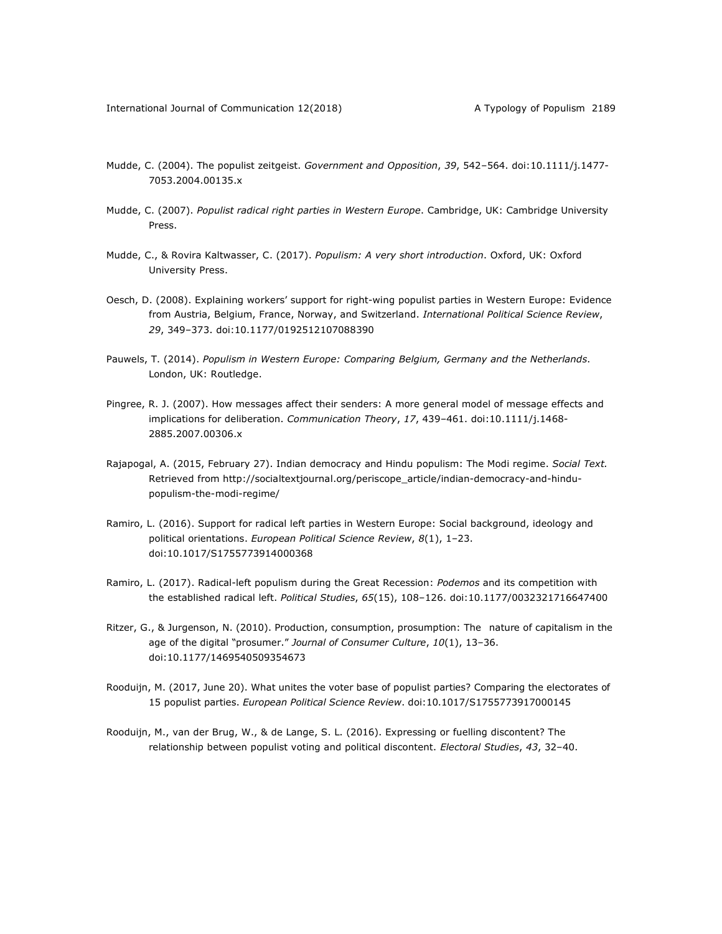- Mudde, C. (2004). The populist zeitgeist. *Government and Opposition*, *39*, 542–564. doi:10.1111/j.1477- 7053.2004.00135.x
- Mudde, C. (2007). *Populist radical right parties in Western Europe*. Cambridge, UK: Cambridge University Press.
- Mudde, C., & Rovira Kaltwasser, C. (2017). *Populism: A very short introduction*. Oxford, UK: Oxford University Press.
- Oesch, D. (2008). Explaining workers' support for right-wing populist parties in Western Europe: Evidence from Austria, Belgium, France, Norway, and Switzerland. *International Political Science Review*, *29*, 349–373. doi:10.1177/0192512107088390
- Pauwels, T. (2014). *Populism in Western Europe: Comparing Belgium, Germany and the Netherlands*. London, UK: Routledge.
- Pingree, R. J. (2007). How messages affect their senders: A more general model of message effects and implications for deliberation. *Communication Theory*, *17*, 439–461. doi:10.1111/j.1468- 2885.2007.00306.x
- Rajapogal, A. (2015, February 27). Indian democracy and Hindu populism: The Modi regime. *Social Text.* Retrieved from http://socialtextjournal.org/periscope\_article/indian-democracy-and-hindupopulism-the-modi-regime/
- Ramiro, L. (2016). Support for radical left parties in Western Europe: Social background, ideology and political orientations. *European Political Science Review*, *8*(1), 1–23. doi:10.1017/S1755773914000368
- Ramiro, L. (2017). Radical-left populism during the Great Recession: *Podemos* and its competition with the established radical left. *Political Studies*, *65*(15), 108–126. doi:10.1177/0032321716647400
- Ritzer, G., & Jurgenson, N. (2010). Production, consumption, prosumption: The nature of capitalism in the age of the digital "prosumer." *Journal of Consumer Culture*, *10*(1), 13–36. doi:10.1177/1469540509354673
- Rooduijn, M. (2017, June 20). What unites the voter base of populist parties? Comparing the electorates of 15 populist parties. *European Political Science Review*. doi:10.1017/S1755773917000145
- Rooduijn, M., van der Brug, W., & de Lange, S. L. (2016). Expressing or fuelling discontent? The relationship between populist voting and political discontent. *Electoral Studies*, *43*, 32–40.